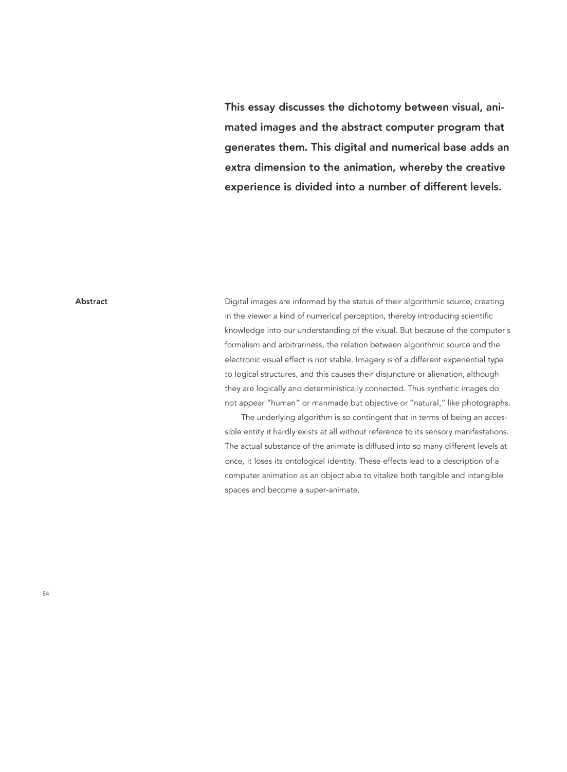**This essay discusses the dichotomy between visual, animated images and the abstract computer program that generates them. This digital and numerical base adds an extra dimension to the animation, whereby the creative experience is divided into a number of different levels.** 

#### **Abstract**

Digital images are informed by the status of their algorithmic source, creating in the viewer a kind of numerical perception, thereby introducing scientific knowledge into our understanding of the visual. But because of the computer's formalism and arbitrariness, the relation between algorithmic source and the electronic visual effect is not stable. Imagery is of a different experiential type to logical structures, and this causes their disjuncture or alienation, although they are logically and deterministically connected. Thus synthetic images do not appear "human" or manmade but objective or "natural," like photographs.

The underlying algorithm is so contingent that in terms of being an accessible entity it hardly exists at all without reference to its sensory manifestations. The actual substance of the animate is diffused into so many different levels at once, it loses its ontological identity. These effects lead to a description of a computer animation as an object able to vitalize both tangible and intangible spaces and become a super-animate.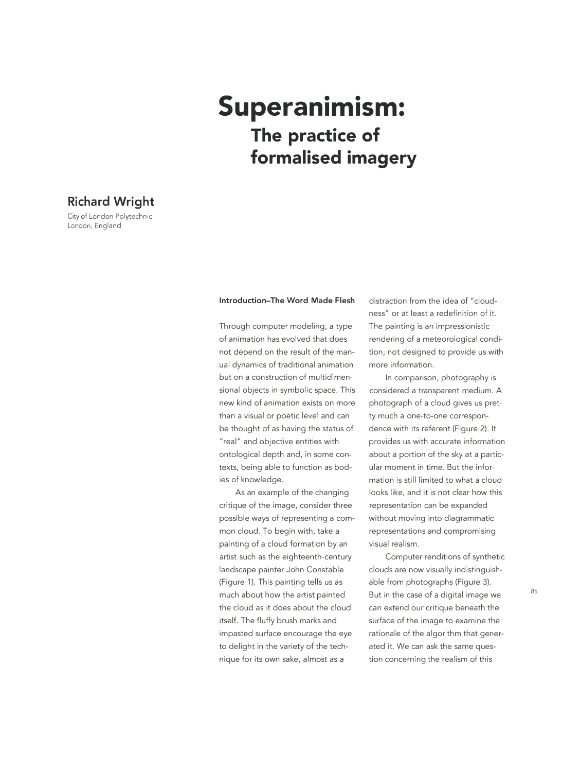# **Superanimism: The practice of formalised imagery**

## **Richard Wright**

City of London Polytechnic London, England

#### **Introduction-The Word Made Flesh**

Through computer modeling, a type of animation has evolved that does not depend on the result of the manual dynamics of traditional animation but on a construction of multidimensional objects in symbolic space. This new kind of animation exists on more than a visual or poetic level and can be thought of as having the status of "real" and objective entities with ontological depth and, in some contexts, being able to function as bodies of knowledge.

As an example of the changing critique of the image, consider three possible ways of representing a common cloud. To begin with, take a painting of a cloud formation by an artist such as the eighteenth-century landscape painter John Constable (Figure 1). This painting tells us as much about how the artist painted the cloud as it does about the cloud itself. The fluffy brush marks and impasted surface encourage the eye to delight in the variety of the technique for its own sake, almost as a

distraction from the idea of "cloudness" or at least a redefinition of it. The painting is an impressionistic rendering of a meteorological condition, not designed to provide us with more information.

In comparison, photography is considered a transparent medium. A photograph of a cloud gives us pretty much a one-to-one correspondence with its referent (Figure 2). It provides us with accurate information about a portion of the sky at a particular moment in time. But the information is still limited to what a cloud looks like, and it is not clear how this representation can be expanded without moving into diagrammatic representations and compromising visual realism.

Computer renditions of synthetic clouds are now visually indistinguishable from photographs (Figure 3). But in the case of a digital image we can extend our critique beneath the surface of the image to examine the rationale of the algorithm that generated it. We can ask the same question concerning the realism of this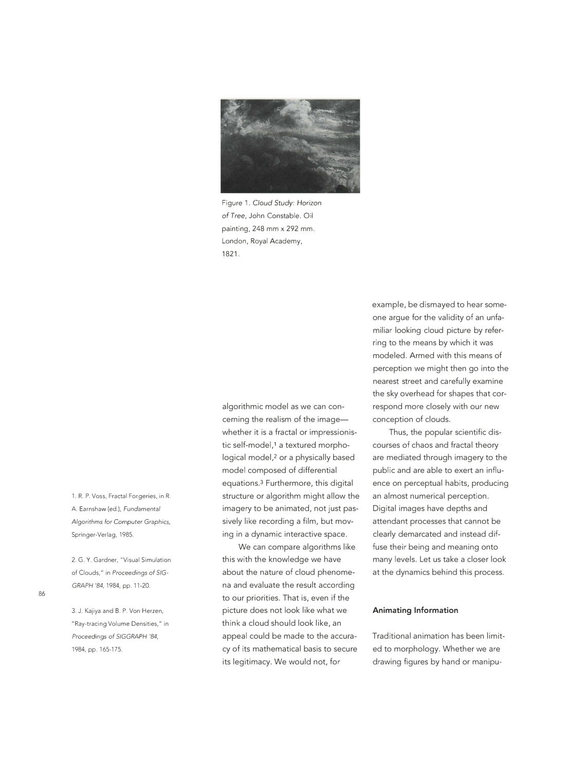

Figure 1. Cloud Study: *Horizon of Tree,* John Constable. Oil painting, 248 mm x 292 mm. London, Royal Academy, 1821.

algorithmic model as we can concerning the realism of the imagewhether it is a fractal or impressionistic self-model,1 a textured morphological model,<sup>2</sup> or a physically based model composed of differential equations.3 Furthermore, this digital structure or algorithm might allow the imagery to be animated, not just passively like recording a film, but moving in a dynamic interactive space.

We can compare algorithms like this with the knowledge we have about the nature of cloud phenomena and evaluate the result according to our priorities. That is, even if the picture does not look like what we think a cloud should look like, an appeal could be made to the accuracy of its mathematical basis to secure its legitimacy. We would not, for

example, be dismayed to hear someone argue for the validity of an unfamiliar looking cloud picture by referring to the means by which it was modeled. Armed with this means of perception we might then go into the nearest street and carefully examine the sky overhead for shapes that correspond more closely with our new conception of clouds.

Thus, the popular scientific discourses of chaos and fractal theory are mediated through imagery to the public and are able to exert an influence on perceptual habits, producing an almost numerical perception. Digital images have depths and attendant processes that cannot be clearly demarcated and instead diffuse their being and meaning onto many levels. Let us take a closer look at the dynamics behind this process.

#### **Animating Information**

Traditional animation has been limited to morphology. Whether we are drawing figures by hand or manipu-

1. R. P. Voss, Fractal Forgeries, in R. A. Earnshaw (ed.), Fundamental Algorithms for *Computer* Graphics, Springer-Verlag, 1985.

2. G. Y. Gardner, "Visual Simulation of Clouds," in Proceedings of SIG-*GRAPH* '84, 1984, pp. 11-20.

3. J. Kajiya and B. P. Von Herzen, "Ray-tracing Volume Densities," in *Proceedings* of *SIGGRAPH* '84, 1984, pp. 165-175.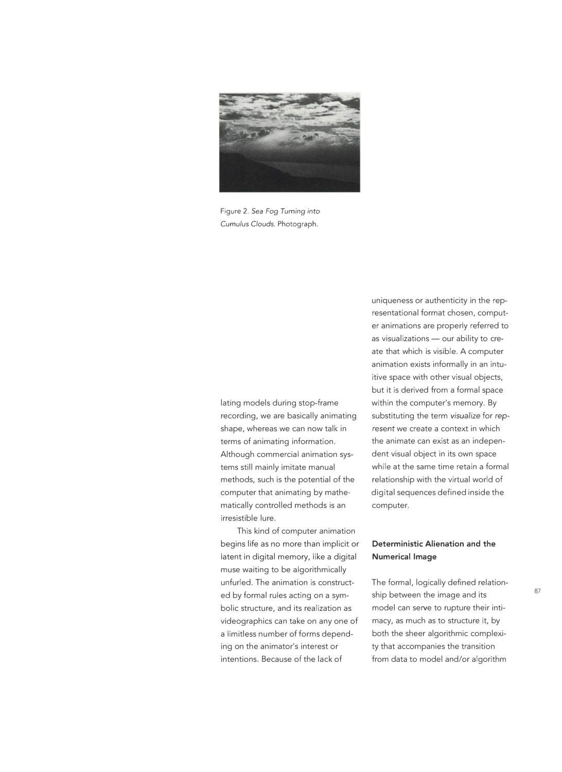

Figure 2. *Sea Fog Turning into Cumulus Clouds.* Photograph.

lating models during stop-frame recording, we are basically animating shape, whereas we can now talk in terms of animating information. Although commercial animation systems still mainly imitate manual methods, such is the potential of the computer that animating by mathematically controlled methods is an irresistible lure.

This kind of computer animation begins life as no more than implicit or **Deterministic Alienation and the**  latent in digital memory, like a digital **Numerical Image**  muse waiting to be algorithmically unfurled. The animation is constructed by formal rules acting on a symbolic structure, and its realization as videographics can take on any one of a limitless number of forms depending on the animator's interest or intentions. Because of the lack of

uniqueness or authenticity in the representational format chosen, computer animations are properly referred to as visualizations - our ability to create that which is visible. A computer animation exists informally in an intuitive space with other visual objects, but it is derived from a formal space within the computer's memory. By substituting the term *visualize* for *rep*resent we create a context in which the animate can exist as an independent visual object in its own space while at the same time retain a formal relationship with the virtual world of digital sequences defined inside the computer.

The formal, logically defined relationship between the image and its model can serve to rupture their intimacy, as much as to structure it, by both the sheer algorithmic complexity that accompanies the transition from data to model and/or algorithm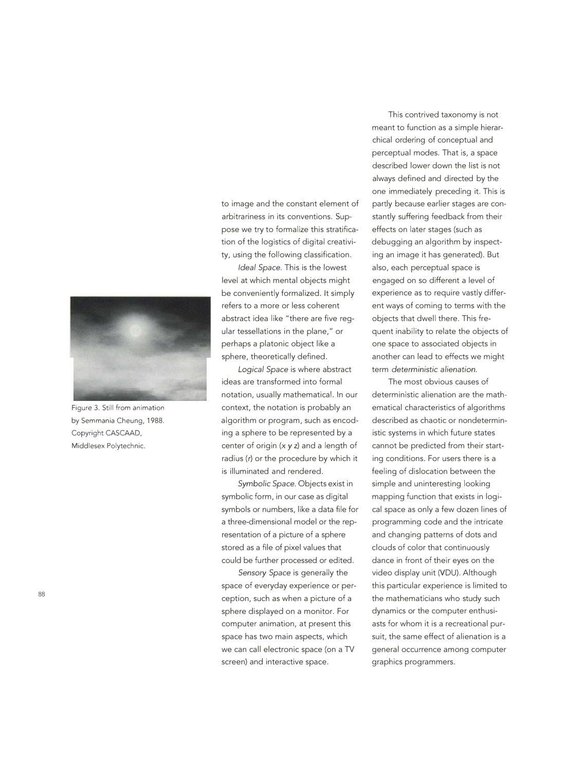

Figure 3. Still from animation by Semmania Cheung, 1988. Copyright CASCAAD, Middlesex Polytechnic.

to image and the constant element of arbitrariness in its conventions. Suppose we try to formalize this stratification of the logistics of digital creativity, using the following classification.

*Ideal Space.* This is the lowest level at which mental objects might be conveniently formalized. It simply refers to a more or less coherent abstract idea like "there are five regular tessellations in the plane," or perhaps a platonic object like a sphere, theoretically defined.

*Logical Space* is where abstract ideas are transformed into formal notation, usually mathematical. In our context, the notation is probably an algorithm or program, such as encoding a sphere to be represented by a center of origin (x *y* z) and a length of radius (r) or the procedure by which it is illuminated and rendered.

*Symbolic Space.* Objects exist in symbolic form, in our case as digital symbols or numbers, like a data file for a three-dimensional model or the representation of a picture of a sphere stored as a file of pixel values that could be further processed or edited.

*Sensory Space* is generally the space of everyday experience or perception, such as when a picture of a sphere displayed on a monitor. For computer animation, at present this space has two main aspects, which we can call electronic space (on a TV screen) and interactive space.

This contrived taxonomy is not meant to function as a simple hierarchical ordering of conceptual and perceptual modes. That is, a space described lower down the list is not always defined and directed by the one immediately preceding it. This is partly because earlier stages are constantly suffering feedback from their effects on later stages (such as debugging an algorithm by inspecting an image it has generated). But also, each perceptual space is engaged on so different a level of experience as to require vastly different ways of coming to terms with the objects that dwell there. This frequent inability to relate the objects of one space to associated objects in another can lead to effects we might term *deterministic alienation.* 

The most obvious causes of deterministic alienation are the mathematical characteristics of algorithms described as chaotic or nondeterministic systems in which future states cannot be predicted from their starting conditions. For users there is a feeling of dislocation between the simple and uninteresting looking mapping function that exists in logical space as only a few dozen lines of programming code and the intricate and changing patterns of dots and clouds of color that continuously dance in front of their eyes on the video display unit (VDU). Although this particular experience is limited to the mathematicians who study such dynamics or the computer enthusiasts for whom it is a recreational pursuit, the same effect of alienation is a general occurrence among computer graphics programmers.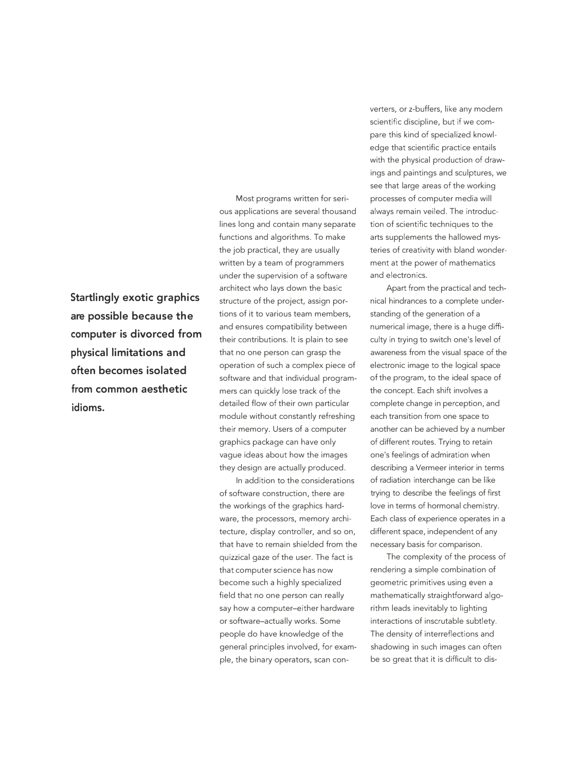**Startlingly exotic graphics are possible because the computer is divorced from physical limitations and often becomes isolated from common aesthetic idioms.** 

Most programs written for serious applications are several thousand lines long and contain many separate functions and algorithms. To make the job practical, they are usually written by a team of programmers under the supervision of a software architect who lays down the basic structure of the project, assign portions of it to various team members, and ensures compatibility between their contributions. It is plain to see that no one person can grasp the operation of such a complex piece of software and that individual programmers can quickly lose track of the detailed flow of their own particular module without constantly refreshing their memory. Users of a computer graphics package can have only vague ideas about how the images they design are actually produced.

In addition to the considerations of software construction, there are the workings of the graphics hardware, the processors, memory architecture, display controller, and so on, that have to remain shielded from the quizzical gaze of the user. The fact is that computer science has now become such a highly specialized field that no one person can really say how a computer-either hardware or software-actually works. Some people do have knowledge of the general principles involved, for example, the binary operators, scan converters, or z-buffers, like any modern scientific discipline, but if we compare this kind of specialized knowledge that scientific practice entails with the physical production of drawings and paintings and sculptures, we see that large areas of the working processes of computer media will always remain veiled. The introduction of scientific techniques to the arts supplements the hallowed mysteries of creativity with bland wonderment at the power of mathematics and electronics.

Apart from the practical and technical hindrances to a complete understanding of the generation of a numerical image, there is a huge difficulty in trying to switch one's level of awareness from the visual space of the electronic image to the logical space of the program, to the ideal space of the concept. Each shift involves a complete change in perception, and each transition from one space to another can be achieved by a number of different routes. Trying to retain one's feelings of admiration when describing a Vermeer interior in terms of radiation interchange can be like trying to describe the feelings of first love in terms of hormonal chemistry. Each class of experience operates in a different space, independent of any necessary basis for comparison.

The complexity of the process of rendering a simple combination of geometric primitives using even a mathematically straightforward algorithm leads inevitably to lighting interactions of inscrutable subtlety. The density of interreflections and shadowing in such images can often be so great that it is difficult to dis-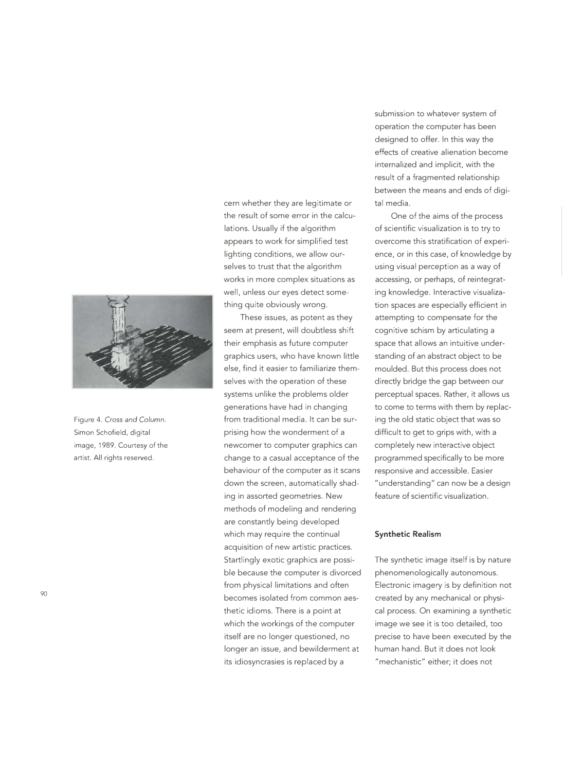

Figure 4. *Cross and Column.*  Simon Schofield, digital image, 1989. Courtesy of the artist. All rights reserved.

90

cern whether they are legitimate or the result of some error in the calculations. Usually if the algorithm appears to work for simplified test lighting conditions, we allow ourselves to trust that the algorithm works in more complex situations as well, unless our eyes detect something quite obviously wrong.

These issues, as potent as they seem at present, will doubtless shift their emphasis as future computer graphics users, who have known little else, find it easier to familiarize themselves with the operation of these systems unlike the problems older generations have had in changing from traditional media. It can be surprising how the wonderment of a newcomer to computer graphics can change to a casual acceptance of the behaviour of the computer as it scans down the screen, automatically shading in assorted geometries. New methods of modeling and rendering are constantly being developed which may require the continual acquisition of new artistic practices. Startlingly exotic graphics are possible because the computer is divorced from physical limitations and often becomes isolated from common aesthetic idioms. There is a point at which the workings of the computer itself are no longer questioned, no longer an issue, and bewilderment at its idiosyncrasies is replaced by a

submission to whatever system of operation the computer has been designed to offer. In this way the effects of creative alienation become internalized and implicit, with the result of a fragmented relationship between the means and ends of digital media.

One of the aims of the process of scientific visualization is to try to overcome this stratification of experience, or in this case, of knowledge by using visual perception as a way of accessing, or perhaps, of reintegrating knowledge. Interactive visualization spaces are especially efficient in attempting to compensate for the cognitive schism by articulating a space that allows an intuitive understanding of an abstract object to be moulded. But this process does not directly bridge the gap between our perceptual spaces. Rather, it allows us to come to terms with them by replacing the old static object that was so difficult to get to grips with, with a completely new interactive object programmed specifically to be more responsive and accessible. Easier "understanding" can now be a design feature of scientific visualization.

#### **Synthetic Realism**

The synthetic image itself is by nature phenomenologically autonomous. Electronic imagery is by definition not created by any mechanical or physical process. On examining a synthetic image we see it is too detailed, too precise to have been executed by the human hand. But it does not look "mechanistic" either; it does not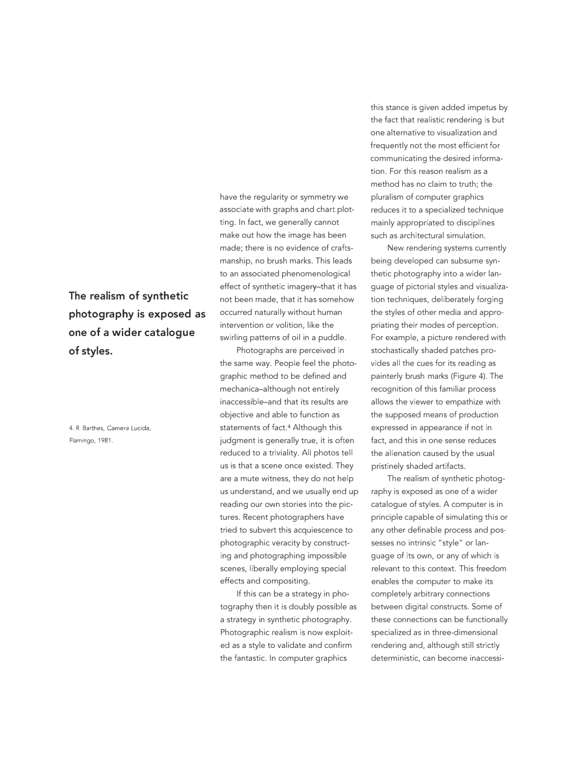**The realism of synthetic photography is exposed as one of a wider catalogue of styles.** 

4. R. Barthes, Camera *Lucida,*  Flamingo, 1981.

have the regularity or symmetry we associate with graphs and chart plotting. In fact, we generally cannot make out how the image has been made; there is no evidence of craftsmanship, no brush marks. This leads to an associated phenomenological effect of synthetic imagery-that it has not been made, that it has somehow occurred naturally without human intervention or volition, like the swirling patterns of oil in a puddle.

Photographs are perceived in the same way. People feel the photographic method to be defined and mechanica-although not entirely inaccessible-and that its results are objective and able to function as statements of fact.4 Although this judgment is generally true, it is often reduced to a triviality. All photos tell us is that a scene once existed. They are a mute witness, they do not help us understand, and we usually end up reading our own stories into the pictures. Recent photographers have tried to subvert this acquiescence to photographic veracity by constructing and photographing impossible scenes, liberally employing special effects and compositing.

If this can be a strategy in photography then it is doubly possible as a strategy in synthetic photography. Photographic realism is now exploited as a style to validate and confirm the fantastic. In computer graphics

this stance is given added impetus by the fact that realistic rendering is but one alternative to visualization and frequently not the most efficient for communicating the desired information. For this reason realism as a method has no claim to truth; the pluralism of computer graphics reduces it to a specialized technique mainly appropriated to disciplines such as architectural simulation.

New rendering systems currently being developed can subsume synthetic photography into a wider language of pictorial styles and visualization techniques, deliberately forging the styles of other media and appropriating their modes of perception. For example, a picture rendered with stochastically shaded patches provides all the cues for its reading as painterly brush marks (Figure 4). The recognition of this familiar process allows the viewer to empathize with the supposed means of production expressed in appearance if not in fact, and this in one sense reduces the alienation caused by the usual pristinely shaded artifacts.

The realism of synthetic photography is exposed as one of a wider catalogue of styles. A computer is in principle capable of simulating this or any other definable process and possesses no intrinsic "style" or language of its own, or any of which is relevant to this context. This freedom enables the computer to make its completely arbitrary connections between digital constructs. Some of these connections can be functionally specialized as in three-dimensional rendering and, although still strictly deterministic, can become inaccessi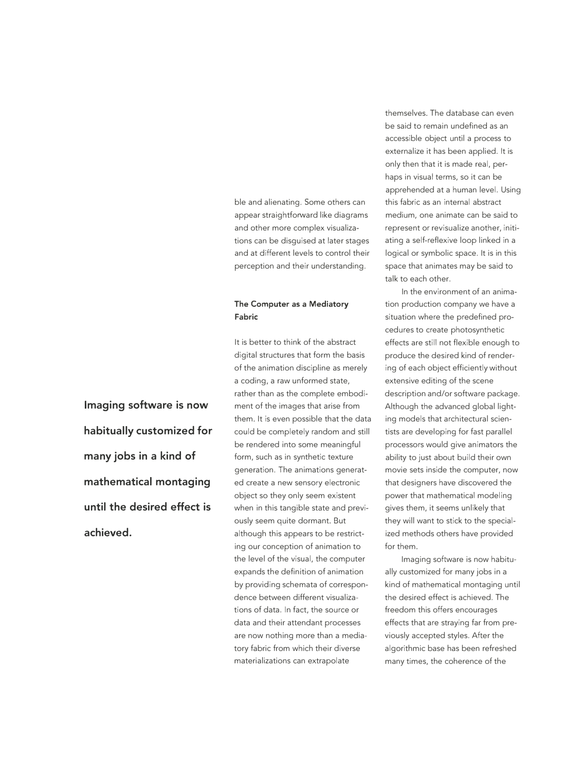ble and alienating. Some others can appear straightforward like diagrams and other more complex visualizations can be disguised at later stages and at different levels to control their perception and their understanding.

### **The Computer as a Mediatory Fabric**

It is better to think of the abstract digital structures that form the basis of the animation discipline as merely a coding, a raw unformed state, rather than as the complete embodiment of the images that arise from them. It is even possible that the data could be completely random and still be rendered into some meaningful form, such as in synthetic texture generation. The animations generated create a new sensory electronic object so they only seem existent when in this tangible state and previously seem quite dormant. But although this appears to be restricting our conception of animation to the level of the visual, the computer expands the definition of animation by providing schemata of correspondence between different visualizations of data. In fact, the source or data and their attendant processes are now nothing more than a mediatory fabric from which their diverse materializations can extrapolate

themselves. The database can even be said to remain undefined as an accessible object until a process to externalize it has been applied. It is only then that it is made real, perhaps in visual terms, so it can be apprehended at a human level. Using this fabric as an internal abstract medium, one animate can be said to represent or revisualize another, initiating a self-reflexive loop linked in a logical or symbolic space. It is in this space that animates may be said to talk to each other.

In the environment of an animation production company we have a situation where the predefined procedures to create photosynthetic effects are still not flexible enough to produce the desired kind of rendering of each object efficiently without extensive editing of the scene description and/or software package. Although the advanced global lighting models that architectural scientists are developing for fast parallel processors would give animators the ability to just about build their own movie sets inside the computer, now that designers have discovered the power that mathematical modeling gives them, it seems unlikely that they will want to stick to the specialized methods others have provided for them.

Imaging software is now habitually customized for many jobs in a kind of mathematical montaging until the desired effect is achieved. The freedom this offers encourages effects that are straying far from previously accepted styles. After the algorithmic base has been refreshed many times, the coherence of the

**Imaging software is now habitually customized for many jobs in a kind of mathematical montaging until the desired effect is achieved.**